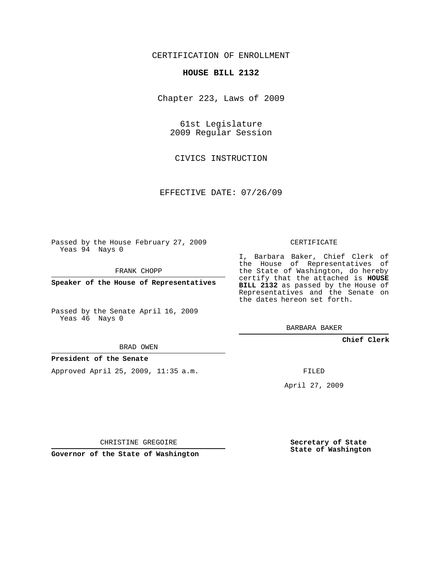# CERTIFICATION OF ENROLLMENT

#### **HOUSE BILL 2132**

Chapter 223, Laws of 2009

61st Legislature 2009 Regular Session

CIVICS INSTRUCTION

EFFECTIVE DATE: 07/26/09

Passed by the House February 27, 2009 Yeas 94 Nays 0

FRANK CHOPP

**Speaker of the House of Representatives**

Passed by the Senate April 16, 2009 Yeas 46 Nays 0

BRAD OWEN

### **President of the Senate**

Approved April 25, 2009, 11:35 a.m.

CERTIFICATE

I, Barbara Baker, Chief Clerk of the House of Representatives of the State of Washington, do hereby certify that the attached is **HOUSE BILL 2132** as passed by the House of Representatives and the Senate on the dates hereon set forth.

BARBARA BAKER

**Chief Clerk**

FILED

April 27, 2009

CHRISTINE GREGOIRE

**Governor of the State of Washington**

**Secretary of State State of Washington**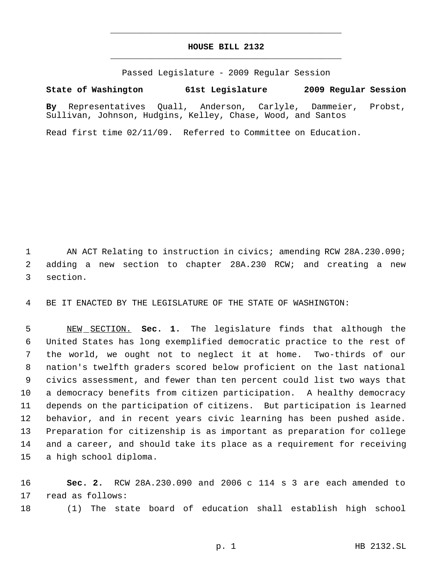# **HOUSE BILL 2132** \_\_\_\_\_\_\_\_\_\_\_\_\_\_\_\_\_\_\_\_\_\_\_\_\_\_\_\_\_\_\_\_\_\_\_\_\_\_\_\_\_\_\_\_\_

\_\_\_\_\_\_\_\_\_\_\_\_\_\_\_\_\_\_\_\_\_\_\_\_\_\_\_\_\_\_\_\_\_\_\_\_\_\_\_\_\_\_\_\_\_

Passed Legislature - 2009 Regular Session

# **State of Washington 61st Legislature 2009 Regular Session**

**By** Representatives Quall, Anderson, Carlyle, Dammeier, Probst, Sullivan, Johnson, Hudgins, Kelley, Chase, Wood, and Santos

Read first time 02/11/09. Referred to Committee on Education.

 AN ACT Relating to instruction in civics; amending RCW 28A.230.090; adding a new section to chapter 28A.230 RCW; and creating a new section.

BE IT ENACTED BY THE LEGISLATURE OF THE STATE OF WASHINGTON:

 NEW SECTION. **Sec. 1.** The legislature finds that although the United States has long exemplified democratic practice to the rest of the world, we ought not to neglect it at home. Two-thirds of our nation's twelfth graders scored below proficient on the last national civics assessment, and fewer than ten percent could list two ways that a democracy benefits from citizen participation. A healthy democracy depends on the participation of citizens. But participation is learned behavior, and in recent years civic learning has been pushed aside. Preparation for citizenship is as important as preparation for college and a career, and should take its place as a requirement for receiving a high school diploma.

 **Sec. 2.** RCW 28A.230.090 and 2006 c 114 s 3 are each amended to read as follows:

(1) The state board of education shall establish high school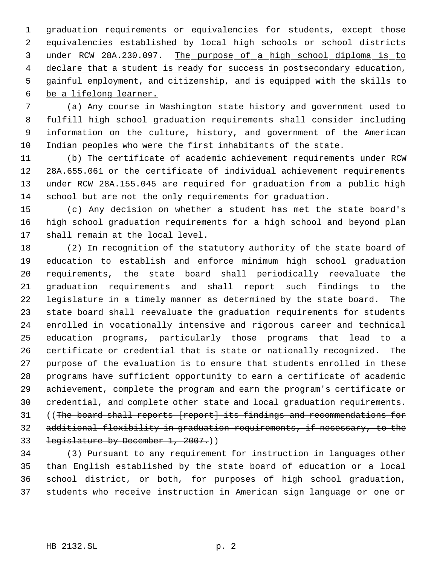graduation requirements or equivalencies for students, except those equivalencies established by local high schools or school districts under RCW 28A.230.097. The purpose of a high school diploma is to 4 declare that a student is ready for success in postsecondary education, gainful employment, and citizenship, and is equipped with the skills to

be a lifelong learner.

 (a) Any course in Washington state history and government used to fulfill high school graduation requirements shall consider including information on the culture, history, and government of the American Indian peoples who were the first inhabitants of the state.

 (b) The certificate of academic achievement requirements under RCW 28A.655.061 or the certificate of individual achievement requirements under RCW 28A.155.045 are required for graduation from a public high school but are not the only requirements for graduation.

 (c) Any decision on whether a student has met the state board's high school graduation requirements for a high school and beyond plan shall remain at the local level.

 (2) In recognition of the statutory authority of the state board of education to establish and enforce minimum high school graduation requirements, the state board shall periodically reevaluate the graduation requirements and shall report such findings to the legislature in a timely manner as determined by the state board. The state board shall reevaluate the graduation requirements for students enrolled in vocationally intensive and rigorous career and technical education programs, particularly those programs that lead to a certificate or credential that is state or nationally recognized. The purpose of the evaluation is to ensure that students enrolled in these programs have sufficient opportunity to earn a certificate of academic achievement, complete the program and earn the program's certificate or credential, and complete other state and local graduation requirements. 31 ((The board shall reports [report] its findings and recommendations for additional flexibility in graduation requirements, if necessary, to the 33 legislature by December 1, 2007.)

 (3) Pursuant to any requirement for instruction in languages other than English established by the state board of education or a local school district, or both, for purposes of high school graduation, students who receive instruction in American sign language or one or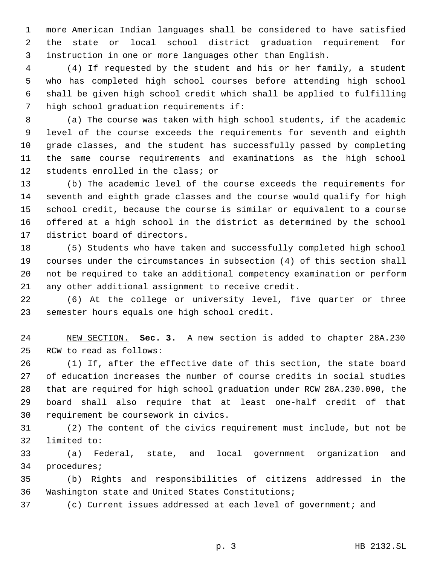more American Indian languages shall be considered to have satisfied the state or local school district graduation requirement for instruction in one or more languages other than English.

 (4) If requested by the student and his or her family, a student who has completed high school courses before attending high school shall be given high school credit which shall be applied to fulfilling high school graduation requirements if:

 (a) The course was taken with high school students, if the academic level of the course exceeds the requirements for seventh and eighth grade classes, and the student has successfully passed by completing the same course requirements and examinations as the high school students enrolled in the class; or

 (b) The academic level of the course exceeds the requirements for seventh and eighth grade classes and the course would qualify for high school credit, because the course is similar or equivalent to a course offered at a high school in the district as determined by the school district board of directors.

 (5) Students who have taken and successfully completed high school courses under the circumstances in subsection (4) of this section shall not be required to take an additional competency examination or perform any other additional assignment to receive credit.

 (6) At the college or university level, five quarter or three semester hours equals one high school credit.

 NEW SECTION. **Sec. 3.** A new section is added to chapter 28A.230 RCW to read as follows:

 (1) If, after the effective date of this section, the state board of education increases the number of course credits in social studies that are required for high school graduation under RCW 28A.230.090, the board shall also require that at least one-half credit of that requirement be coursework in civics.

 (2) The content of the civics requirement must include, but not be limited to:

 (a) Federal, state, and local government organization and procedures;

 (b) Rights and responsibilities of citizens addressed in the Washington state and United States Constitutions;

(c) Current issues addressed at each level of government; and